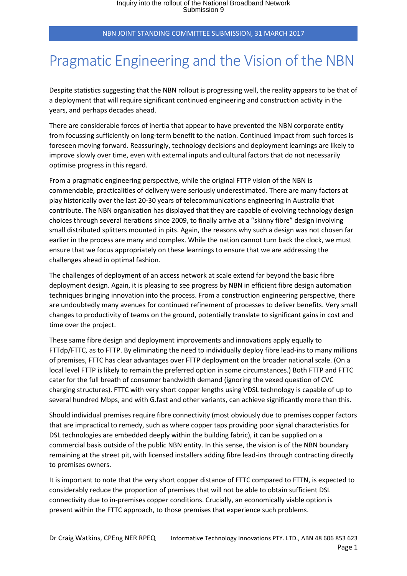NBN JOINT STANDING COMMITTEE SUBMISSION, 31 MARCH 2017

## Pragmatic Engineering and the Vision of the NBN

Despite statistics suggesting that the NBN rollout is progressing well, the reality appears to be that of a deployment that will require significant continued engineering and construction activity in the years, and perhaps decades ahead.

There are considerable forces of inertia that appear to have prevented the NBN corporate entity from focussing sufficiently on long-term benefit to the nation. Continued impact from such forces is foreseen moving forward. Reassuringly, technology decisions and deployment learnings are likely to improve slowly over time, even with external inputs and cultural factors that do not necessarily optimise progress in this regard.

From a pragmatic engineering perspective, while the original FTTP vision of the NBN is commendable, practicalities of delivery were seriously underestimated. There are many factors at play historically over the last 20-30 years of telecommunications engineering in Australia that contribute. The NBN organisation has displayed that they are capable of evolving technology design choices through several iterations since 2009, to finally arrive at a "skinny fibre" design involving small distributed splitters mounted in pits. Again, the reasons why such a design was not chosen far earlier in the process are many and complex. While the nation cannot turn back the clock, we must ensure that we focus appropriately on these learnings to ensure that we are addressing the challenges ahead in optimal fashion.

The challenges of deployment of an access network at scale extend far beyond the basic fibre deployment design. Again, it is pleasing to see progress by NBN in efficient fibre design automation techniques bringing innovation into the process. From a construction engineering perspective, there are undoubtedly many avenues for continued refinement of processes to deliver benefits. Very small changes to productivity of teams on the ground, potentially translate to significant gains in cost and time over the project.

These same fibre design and deployment improvements and innovations apply equally to FTTdp/FTTC, as to FTTP. By eliminating the need to individually deploy fibre lead-ins to many millions of premises, FTTC has clear advantages over FTTP deployment on the broader national scale. (On a local level FTTP is likely to remain the preferred option in some circumstances.) Both FTTP and FTTC cater for the full breath of consumer bandwidth demand (ignoring the vexed question of CVC charging structures). FTTC with very short copper lengths using VDSL technology is capable of up to several hundred Mbps, and with G.fast and other variants, can achieve significantly more than this.

Should individual premises require fibre connectivity (most obviously due to premises copper factors that are impractical to remedy, such as where copper taps providing poor signal characteristics for DSL technologies are embedded deeply within the building fabric), it can be supplied on a commercial basis outside of the public NBN entity. In this sense, the vision is of the NBN boundary remaining at the street pit, with licensed installers adding fibre lead-ins through contracting directly to premises owners.

It is important to note that the very short copper distance of FTTC compared to FTTN, is expected to considerably reduce the proportion of premises that will not be able to obtain sufficient DSL connectivity due to in-premises copper conditions. Crucially, an economically viable option is present within the FTTC approach, to those premises that experience such problems.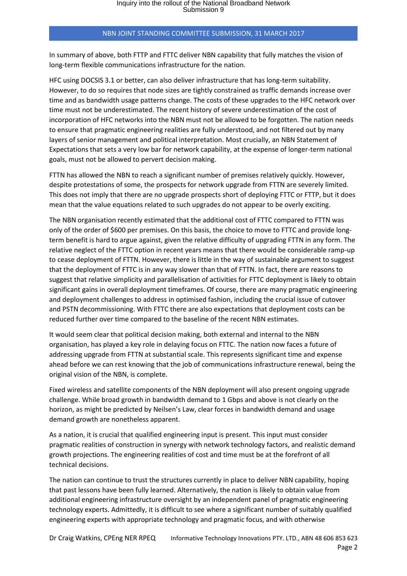## NBN JOINT STANDING COMMITTEE SUBMISSION, 31 MARCH 2017

In summary of above, both FTTP and FTTC deliver NBN capability that fully matches the vision of long-term flexible communications infrastructure for the nation.

HFC using DOCSIS 3.1 or better, can also deliver infrastructure that has long-term suitability. However, to do so requires that node sizes are tightly constrained as traffic demands increase over time and as bandwidth usage patterns change. The costs of these upgrades to the HFC network over time must not be underestimated. The recent history of severe underestimation of the cost of incorporation of HFC networks into the NBN must not be allowed to be forgotten. The nation needs to ensure that pragmatic engineering realities are fully understood, and not filtered out by many layers of senior management and political interpretation. Most crucially, an NBN Statement of Expectations that sets a very low bar for network capability, at the expense of longer-term national goals, must not be allowed to pervert decision making.

FTTN has allowed the NBN to reach a significant number of premises relatively quickly. However, despite protestations of some, the prospects for network upgrade from FTTN are severely limited. This does not imply that there are no upgrade prospects short of deploying FTTC or FTTP, but it does mean that the value equations related to such upgrades do not appear to be overly exciting.

The NBN organisation recently estimated that the additional cost of FTTC compared to FTTN was only of the order of \$600 per premises. On this basis, the choice to move to FTTC and provide longterm benefit is hard to argue against, given the relative difficulty of upgrading FTTN in any form. The relative neglect of the FTTC option in recent years means that there would be considerable ramp-up to cease deployment of FTTN. However, there is little in the way of sustainable argument to suggest that the deployment of FTTC is in any way slower than that of FTTN. In fact, there are reasons to suggest that relative simplicity and parallelisation of activities for FTTC deployment is likely to obtain significant gains in overall deployment timeframes. Of course, there are many pragmatic engineering and deployment challenges to address in optimised fashion, including the crucial issue of cutover and PSTN decommissioning. With FTTC there are also expectations that deployment costs can be reduced further over time compared to the baseline of the recent NBN estimates.

It would seem clear that political decision making, both external and internal to the NBN organisation, has played a key role in delaying focus on FTTC. The nation now faces a future of addressing upgrade from FTTN at substantial scale. This represents significant time and expense ahead before we can rest knowing that the job of communications infrastructure renewal, being the original vision of the NBN, is complete.

Fixed wireless and satellite components of the NBN deployment will also present ongoing upgrade challenge. While broad growth in bandwidth demand to 1 Gbps and above is not clearly on the horizon, as might be predicted by Neilsen's Law, clear forces in bandwidth demand and usage demand growth are nonetheless apparent.

As a nation, it is crucial that qualified engineering input is present. This input must consider pragmatic realities of construction in synergy with network technology factors, and realistic demand growth projections. The engineering realities of cost and time must be at the forefront of all technical decisions.

The nation can continue to trust the structures currently in place to deliver NBN capability, hoping that past lessons have been fully learned. Alternatively, the nation is likely to obtain value from additional engineering infrastructure oversight by an independent panel of pragmatic engineering technology experts. Admittedly, it is difficult to see where a significant number of suitably qualified engineering experts with appropriate technology and pragmatic focus, and with otherwise